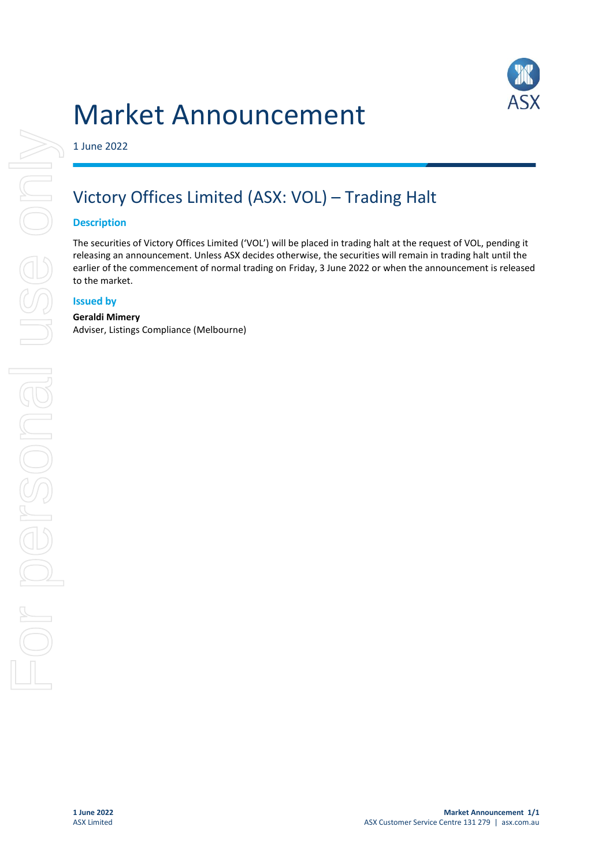# Market Announcement



1 June 2022

## Victory Offices Limited (ASX: VOL) – Trading Halt

#### **Description**

The securities of Victory Offices Limited ('VOL') will be placed in trading halt at the request of VOL, pending it releasing an announcement. Unless ASX decides otherwise, the securities will remain in trading halt until the earlier of the commencement of normal trading on Friday, 3 June 2022 or when the announcement is released to the market.

#### **Issued by**

#### **Geraldi Mimery**

Adviser, Listings Compliance (Melbourne)